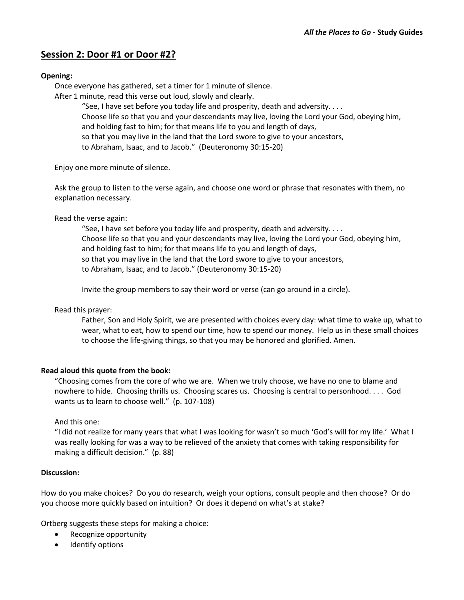## **Session 2: Door #1 or Door #2?**

## **Opening:**

Once everyone has gathered, set a timer for 1 minute of silence.

After 1 minute, read this verse out loud, slowly and clearly.

"See, I have set before you today life and prosperity, death and adversity. . . . Choose life so that you and your descendants may live, loving the Lord your God, obeying him, and holding fast to him; for that means life to you and length of days, so that you may live in the land that the Lord swore to give to your ancestors, to Abraham, Isaac, and to Jacob." (Deuteronomy 30:15-20)

Enjoy one more minute of silence.

Ask the group to listen to the verse again, and choose one word or phrase that resonates with them, no explanation necessary.

Read the verse again:

"See, I have set before you today life and prosperity, death and adversity. . . . Choose life so that you and your descendants may live, loving the Lord your God, obeying him, and holding fast to him; for that means life to you and length of days, so that you may live in the land that the Lord swore to give to your ancestors, to Abraham, Isaac, and to Jacob." (Deuteronomy 30:15-20)

Invite the group members to say their word or verse (can go around in a circle).

Read this prayer:

Father, Son and Holy Spirit, we are presented with choices every day: what time to wake up, what to wear, what to eat, how to spend our time, how to spend our money. Help us in these small choices to choose the life-giving things, so that you may be honored and glorified. Amen.

## **Read aloud this quote from the book:**

"Choosing comes from the core of who we are. When we truly choose, we have no one to blame and nowhere to hide. Choosing thrills us. Choosing scares us. Choosing is central to personhood. . . . God wants us to learn to choose well." (p. 107-108)

And this one:

"I did not realize for many years that what I was looking for wasn't so much 'God's will for my life.' What I was really looking for was a way to be relieved of the anxiety that comes with taking responsibility for making a difficult decision." (p. 88)

## **Discussion:**

How do you make choices? Do you do research, weigh your options, consult people and then choose? Or do you choose more quickly based on intuition? Or does it depend on what's at stake?

Ortberg suggests these steps for making a choice:

- Recognize opportunity
- Identify options